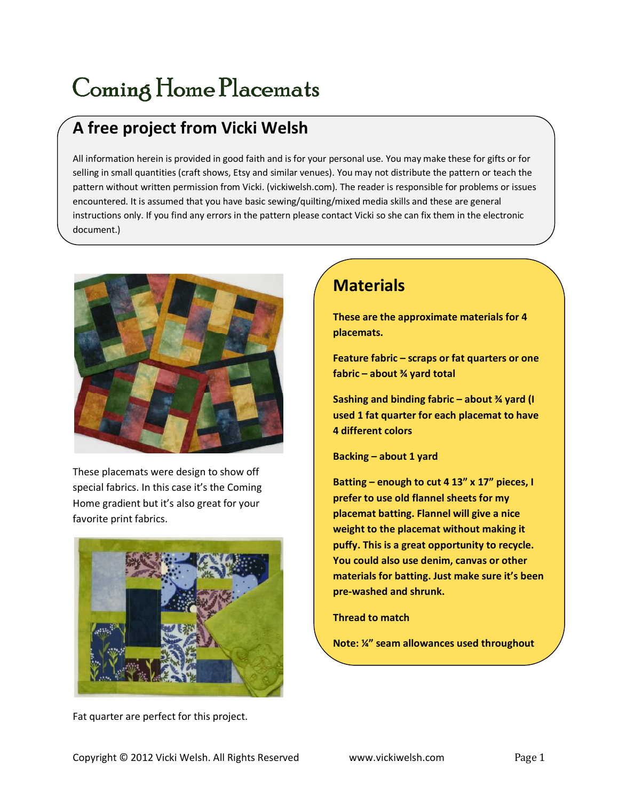## Coming Home Placemats

## A free project from Vicki Welsh

All information herein is provided in good faith and is for your personal use. You may make these for gifts or for selling in small quantities (craft shows, Etsy and similar venues). You may not distribute the pattern or teach the pattern without written permission from Vicki. (vickiwelsh.com). The reader is responsible for problems or issues encountered. It is assumed that you have basic sewing/quilting/mixed media skills and these are general instructions only. If you find any errors in the pattern please contact Vicki so she can fix them in the electronic document.)



These placemats were design to show off special fabrics. In this case it's the Coming Home gradient but it's also great for your favorite print fabrics.



Fat quarter are perfect for this project.

## **Materials**

These are the approximate materials for 4 placemats.

Feature fabric – scraps or fat quarters or one fabric – about  $<sup>3</sup>$  yard total</sup>

Sashing and binding fabric – about  $\frac{3}{4}$  yard (I used 1 fat quarter for each placemat to have 4 different colors

Backing – about 1 yard

Batting – enough to cut 4 13" x 17" pieces, I prefer to use old flannel sheets for my placemat batting. Flannel will give a nice weight to the placemat without making it puffy. This is a great opportunity to recycle. You could also use denim, canvas or other materials for batting. Just make sure it's been pre-washed and shrunk.

Thread to match

Note: ¼" seam allowances used throughout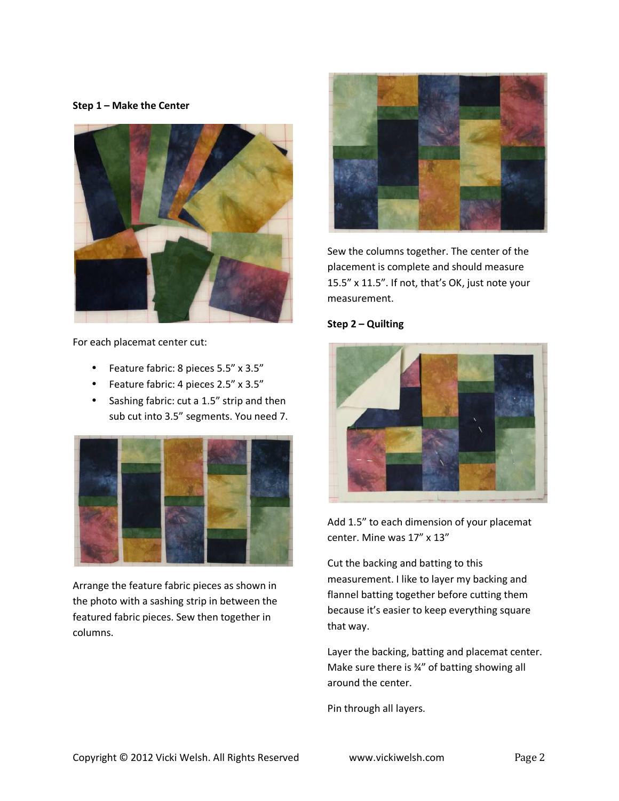Step 1 – Make the Center



For each placemat center cut:

- Feature fabric: 8 pieces 5.5" x 3.5"
- Feature fabric: 4 pieces 2.5" x 3.5"
- Sashing fabric: cut a 1.5" strip and then sub cut into 3.5" segments. You need 7.



Arrange the feature fabric pieces as shown in the photo with a sashing strip in between the featured fabric pieces. Sew then together in columns.



Sew the columns together. The center of the placement is complete and should measure 15.5" x 11.5". If not, that's OK, just note your measurement.





Add 1.5" to each dimension of your placemat center. Mine was 17" x 13"

Cut the backing and batting to this measurement. I like to layer my backing and flannel batting together before cutting them because it's easier to keep everything square that way.

Layer the backing, batting and placemat center. Make sure there is ¾" of batting showing all around the center.

Pin through all layers.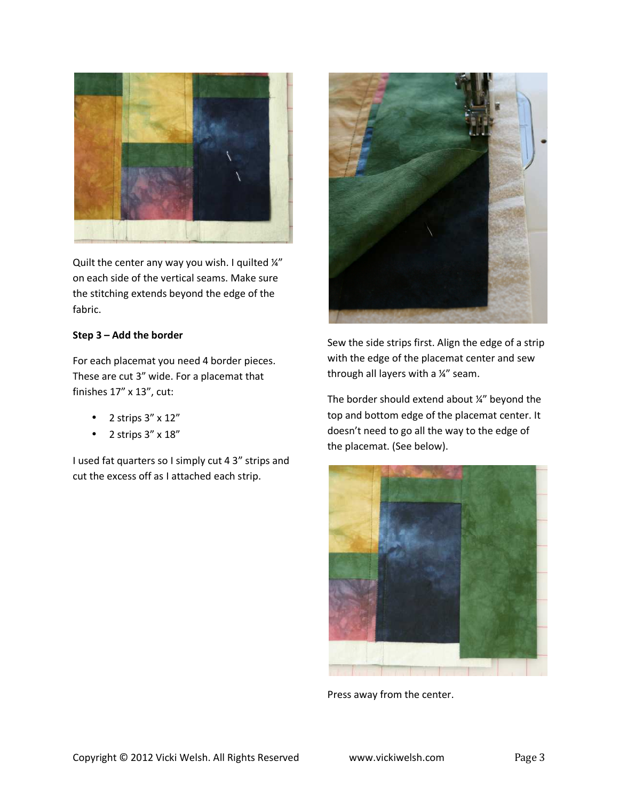

Quilt the center any way you wish. I quilted ¼" on each side of the vertical seams. Make sure the stitching extends beyond the edge of the fabric.

## Step 3 – Add the border

For each placemat you need 4 border pieces. These are cut 3" wide. For a placemat that finishes 17" x 13", cut:

- $\bullet$  2 strips  $3'' \times 12''$
- $\bullet$  2 strips  $3'' \times 18''$

I used fat quarters so I simply cut 4 3" strips and cut the excess off as I attached each strip.



Sew the side strips first. Align the edge of a strip with the edge of the placemat center and sew through all layers with a ¼" seam.

The border should extend about ¼" beyond the top and bottom edge of the placemat center. It doesn't need to go all the way to the edge of the placemat. (See below).



Press away from the center.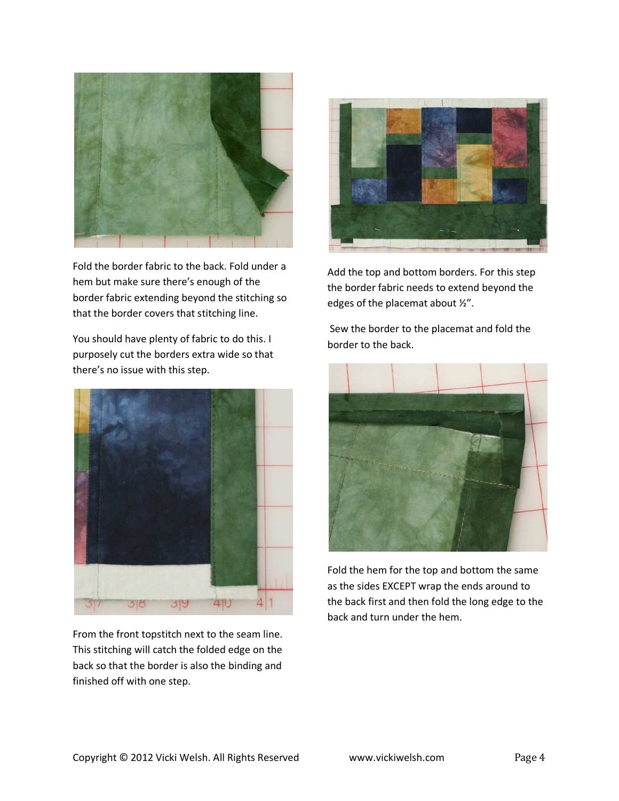

Fold the border fabric to the back. Fold under a hem but make sure there's enough of the border fabric extending beyond the stitching so that the border covers that stitching line.

You should have plenty of fabric to do this. I purposely cut the borders extra wide so that there's no issue with this step.



From the front topstitch next to the seam line. This stitching will catch the folded edge on the back so that the border is also the binding and finished off with one step.



Add the top and bottom borders. For this step the border fabric needs to extend beyond the edges of the placemat about ½".

 Sew the border to the placemat and fold the border to the back.



Fold the hem for the top and bottom the same as the sides EXCEPT wrap the ends around to the back first and then fold the long edge to the back and turn under the hem.